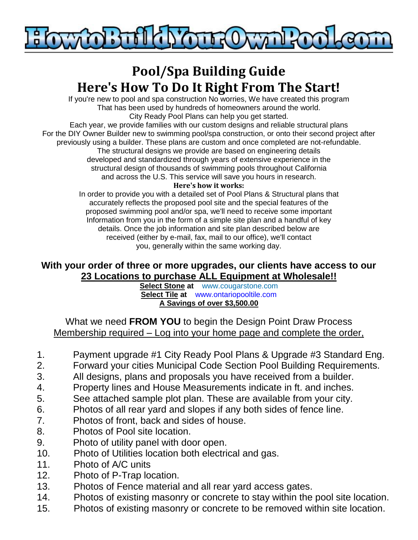

# **Pool/Spa Building Guide Here's How To Do It Right From The Start!**

If you're new to pool and spa construction No worries, We have created this program That has been used by hundreds of homeowners around the world. City Ready Pool Plans can help you get started.

Each year, we provide families with our custom designs and reliable structural plans For the DIY Owner Builder new to swimming pool/spa construction, or onto their second project after previously using a builder. These plans are custom and once completed are not-refundable. The structural designs we provide are based on engineering details developed and standardized through years of extensive experience in the structural design of thousands of swimming pools throughout California

and across the U.S. This service will save you hours in research.

#### **Here's how it works:**

In order to provide you with a detailed set of Pool Plans & Structural plans that accurately reflects the proposed pool site and the special features of the proposed swimming pool and/or spa, we'll need to receive some important Information from you in the form of a simple site plan and a handful of key details. Once the job information and site plan described below are received (either by e-mail, fax, mail to our office), we'll contact you, generally within the same working day.

#### **With your order of three or more upgrades, our clients have access to our 23 Locations to purchase ALL Equipment at Wholesale!!**

**Select Stone at [www.cougarstone.com](http://www.cougarstone.com/) Select Tile at [www.ontariopooltile.com](http://www.ontariopooltile.com/) A Savings of over \$3,500.00** 

What we need **FROM YOU** to begin the Design Point Draw Process Membership required – Log into your home page and complete the order,

- 1. Payment upgrade #1 City Ready Pool Plans & Upgrade #3 Standard Eng.
- 2. Forward your cities Municipal Code Section Pool Building Requirements.
- 3. All designs, plans and proposals you have received from a builder.
- 4. Property lines and House Measurements indicate in ft. and inches.
- 5. See attached sample plot plan. These are available from your city.
- 6. Photos of all rear yard and slopes if any both sides of fence line.
- 7. Photos of front, back and sides of house.
- 8. Photos of Pool site location.
- 9. Photo of utility panel with door open.
- 10. Photo of Utilities location both electrical and gas.
- 11. Photo of A/C units
- 12. Photo of P-Trap location.
- 13. Photos of Fence material and all rear yard access gates.
- 14. Photos of existing masonry or concrete to stay within the pool site location.
- 15. Photos of existing masonry or concrete to be removed within site location.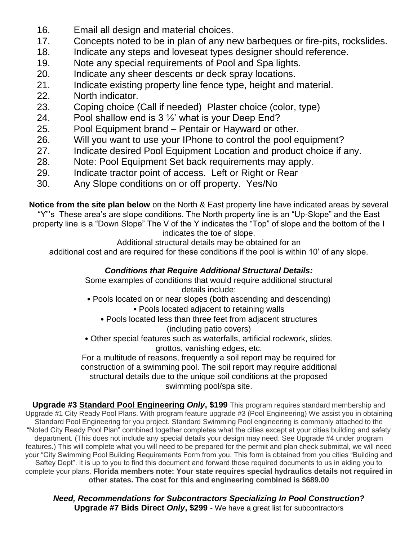- 16. Email all design and material choices.
- 17. Concepts noted to be in plan of any new barbeques or fire-pits, rockslides.
- 18. Indicate any steps and loveseat types designer should reference.
- 19. Note any special requirements of Pool and Spa lights.
- 20. Indicate any sheer descents or deck spray locations.
- 21. Indicate existing property line fence type, height and material.
- 22. North indicator.
- 23. Coping choice (Call if needed) Plaster choice (color, type)
- 24. Pool shallow end is  $3\frac{1}{2}$  what is your Deep End?
- 25. Pool Equipment brand Pentair or Hayward or other.
- 26. Will you want to use your IPhone to control the pool equipment?
- 27. Indicate desired Pool Equipment Location and product choice if any.
- 28. Note: Pool Equipment Set back requirements may apply.
- 29. Indicate tractor point of access. Left or Right or Rear
- 30. Any Slope conditions on or off property. Yes/No

**Notice from the site plan below** on the North & East property line have indicated areas by several "Y"'s These area's are slope conditions. The North property line is an "Up-Slope" and the East property line is a "Down Slope" The V of the Y indicates the "Top" of slope and the bottom of the I indicates the toe of slope.

Additional structural details may be obtained for an

additional cost and are required for these conditions if the pool is within 10' of any slope.

#### *Conditions that Require Additional Structural Details:*

Some examples of conditions that would require additional structural details include:

• Pools located on or near slopes (both ascending and descending)

• Pools located adjacent to retaining walls

- Pools located less than three feet from adjacent structures (including patio covers)
- Other special features such as waterfalls, artificial rockwork, slides, grottos, vanishing edges, etc.

For a multitude of reasons, frequently a soil report may be required for construction of a swimming pool. The soil report may require additional structural details due to the unique soil conditions at the proposed swimming pool/spa site.

**Upgrade #3 Standard Pool Engineering** *Only***, \$199** This program requires standard membership and Upgrade #1 City Ready Pool Plans. With program feature upgrade #3 (Pool Engineering) We assist you in obtaining Standard Pool Engineering for you project. Standard Swimming Pool engineering is commonly attached to the "Noted City Ready Pool Plan" combined together completes what the cities except at your cities building and safety department. (This does not include any special details your design may need. See Upgrade #4 under program features.) This will complete what you will need to be prepared for the permit and plan check submittal, we will need your "City Swimming Pool Building Requirements Form from you. This form is obtained from you cities "Building and Saftey Dept". It is up to you to find this document and forward those required documents to us in aiding you to complete your plans. **Florida members note: Your state requires special hydraulics details not required in other states. The cost for this and engineering combined is \$689.00**

*Need, Recommendations for Subcontractors Specializing In Pool Construction?* **Upgrade #7 Bids Direct** *Only***, \$299** - We have a great list for subcontractors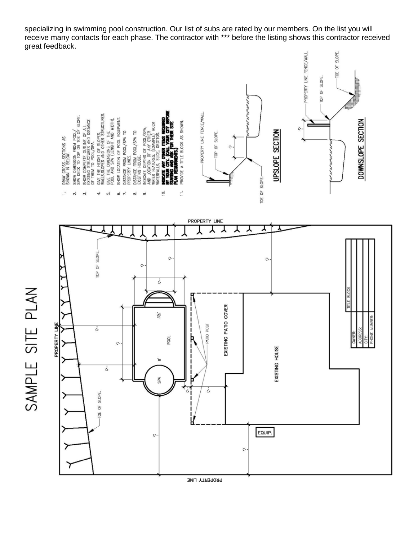specializing in swimming pool construction. Our list of subs are rated by our members. On the list you will receive many contacts for each phase. The contractor with \*\*\* before the listing shows this contractor received great feedback.



PROPERTY LINE

SAMPLE SITE PLAN